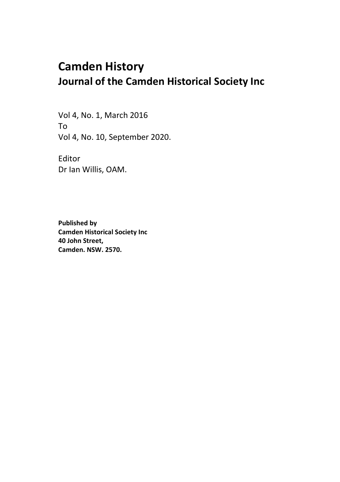## **Camden History Journal of the Camden Historical Society Inc**

Vol 4, No. 1, March 2016 To Vol 4, No. 10, September 2020.

Editor Dr Ian Willis, OAM.

**Published by Camden Historical Society Inc 40 John Street, Camden. NSW. 2570.**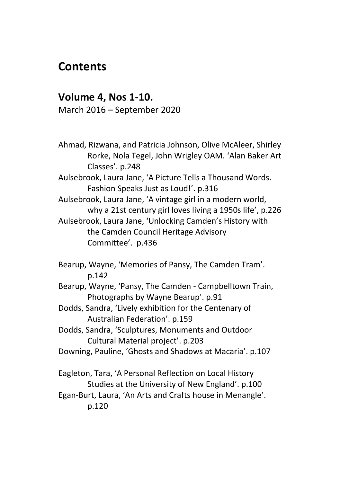## **Contents**

## **Volume 4, Nos 1-10.**

March 2016 – September 2020

Ahmad, Rizwana, and Patricia Johnson, Olive McAleer, Shirley Rorke, Nola Tegel, John Wrigley OAM. 'Alan Baker Art Classes'. p.248

Aulsebrook, Laura Jane, 'A Picture Tells a Thousand Words. Fashion Speaks Just as Loud!'. p.316

Aulsebrook, Laura Jane, 'A vintage girl in a modern world, why a 21st century girl loves living a 1950s life', p.226 Aulsebrook, Laura Jane, 'Unlocking Camden's History with the Camden Council Heritage Advisory Committee'. p.436

Bearup, Wayne, 'Memories of Pansy, The Camden Tram'. p.142

Bearup, Wayne, 'Pansy, The Camden - Campbelltown Train, Photographs by Wayne Bearup'. p.91

- Dodds, Sandra, 'Lively exhibition for the Centenary of Australian Federation'. p.159
- Dodds, Sandra, 'Sculptures, Monuments and Outdoor Cultural Material project'. p.203
- Downing, Pauline, 'Ghosts and Shadows at Macaria'. p.107

Eagleton, Tara, 'A Personal Reflection on Local History Studies at the University of New England'. p.100 Egan-Burt, Laura, 'An Arts and Crafts house in Menangle'.

p.120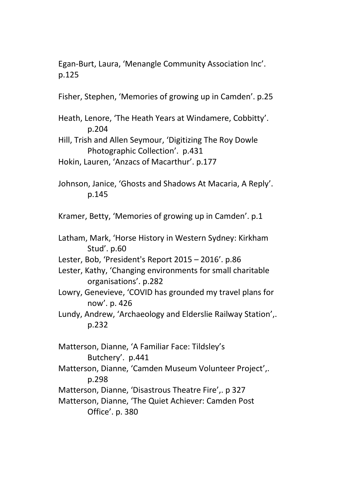Egan-Burt, Laura, 'Menangle Community Association Inc'. p.125

Fisher, Stephen, 'Memories of growing up in Camden'. p.25

- Heath, Lenore, 'The Heath Years at Windamere, Cobbitty'. p.204
- Hill, Trish and Allen Seymour, 'Digitizing The Roy Dowle Photographic Collection'. p.431
- Hokin, Lauren, 'Anzacs of Macarthur'. p.177
- Johnson, Janice, 'Ghosts and Shadows At Macaria, A Reply'. p.145

Kramer, Betty, 'Memories of growing up in Camden'. p.1

- Latham, Mark, 'Horse History in Western Sydney: Kirkham Stud'. p.60
- Lester, Bob, 'President's Report 2015 2016'. p.86
- Lester, Kathy, 'Changing environments for small charitable organisations'. p.282
- Lowry, Genevieve, 'COVID has grounded my travel plans for now'. p. 426
- Lundy, Andrew, 'Archaeology and Elderslie Railway Station',. p.232

Matterson, Dianne, 'A Familiar Face: Tildsley's Butchery'. p.441 Matterson, Dianne, 'Camden Museum Volunteer Project',. p.298 Matterson, Dianne, 'Disastrous Theatre Fire',. p 327 Matterson, Dianne, 'The Quiet Achiever: Camden Post Office'. p. 380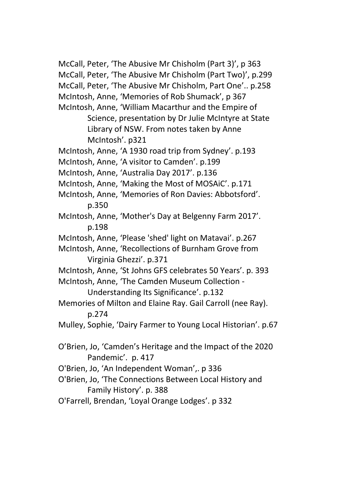McCall, Peter, 'The Abusive Mr Chisholm (Part 3)', p 363 McCall, Peter, 'The Abusive Mr Chisholm (Part Two)', p.299 McCall, Peter, 'The Abusive Mr Chisholm, Part One'.. p.258 McIntosh, Anne, 'Memories of Rob Shumack', p 367 McIntosh, Anne, 'William Macarthur and the Empire of Science, presentation by Dr Julie McIntyre at State Library of NSW. From notes taken by Anne McIntosh'. p321 McIntosh, Anne, 'A 1930 road trip from Sydney'. p.193 McIntosh, Anne, 'A visitor to Camden'. p.199 McIntosh, Anne, 'Australia Day 2017'. p.136 McIntosh, Anne, 'Making the Most of MOSAiC'. p.171 McIntosh, Anne, 'Memories of Ron Davies: Abbotsford'. p.350 McIntosh, Anne, 'Mother's Day at Belgenny Farm 2017'. p.198 McIntosh, Anne, 'Please 'shed' light on Matavai'. p.267 McIntosh, Anne, 'Recollections of Burnham Grove from Virginia Ghezzi'. p.371 McIntosh, Anne, 'St Johns GFS celebrates 50 Years'. p. 393 McIntosh, Anne, 'The Camden Museum Collection - Understanding Its Significance'. p.132 Memories of Milton and Elaine Ray. Gail Carroll (nee Ray). p.274 Mulley, Sophie, 'Dairy Farmer to Young Local Historian'. p.67 O'Brien, Jo, 'Camden's Heritage and the Impact of the 2020 Pandemic'. p. 417 O'Brien, Jo, 'An Independent Woman',. p 336 O'Brien, Jo, 'The Connections Between Local History and Family History'. p. 388

O'Farrell, Brendan, 'Loyal Orange Lodges'. p 332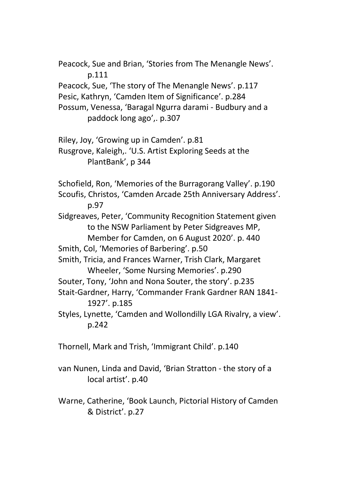Peacock, Sue and Brian, 'Stories from The Menangle News'. p.111 Peacock, Sue, 'The story of The Menangle News'. p.117 Pesic, Kathryn, 'Camden Item of Significance'. p.284 Possum, Venessa, 'Baragal Ngurra darami - Budbury and a paddock long ago',. p.307 Riley, Joy, 'Growing up in Camden'. p.81 Rusgrove, Kaleigh,. 'U.S. Artist Exploring Seeds at the PlantBank', p 344 Schofield, Ron, 'Memories of the Burragorang Valley'. p.190 Scoufis, Christos, 'Camden Arcade 25th Anniversary Address'. p.97 Sidgreaves, Peter, 'Community Recognition Statement given to the NSW Parliament by Peter Sidgreaves MP, Member for Camden, on 6 August 2020'. p. 440 Smith, Col, 'Memories of Barbering'. p.50 Smith, Tricia, and Frances Warner, Trish Clark, Margaret Wheeler, 'Some Nursing Memories'. p.290 Souter, Tony, 'John and Nona Souter, the story'. p.235 Stait-Gardner, Harry, 'Commander Frank Gardner RAN 1841- 1927'. p.185 Styles, Lynette, 'Camden and Wollondilly LGA Rivalry, a view'. p.242 Thornell, Mark and Trish, 'Immigrant Child'. p.140

van Nunen, Linda and David, 'Brian Stratton - the story of a local artist'. p.40

Warne, Catherine, 'Book Launch, Pictorial History of Camden & District'. p.27